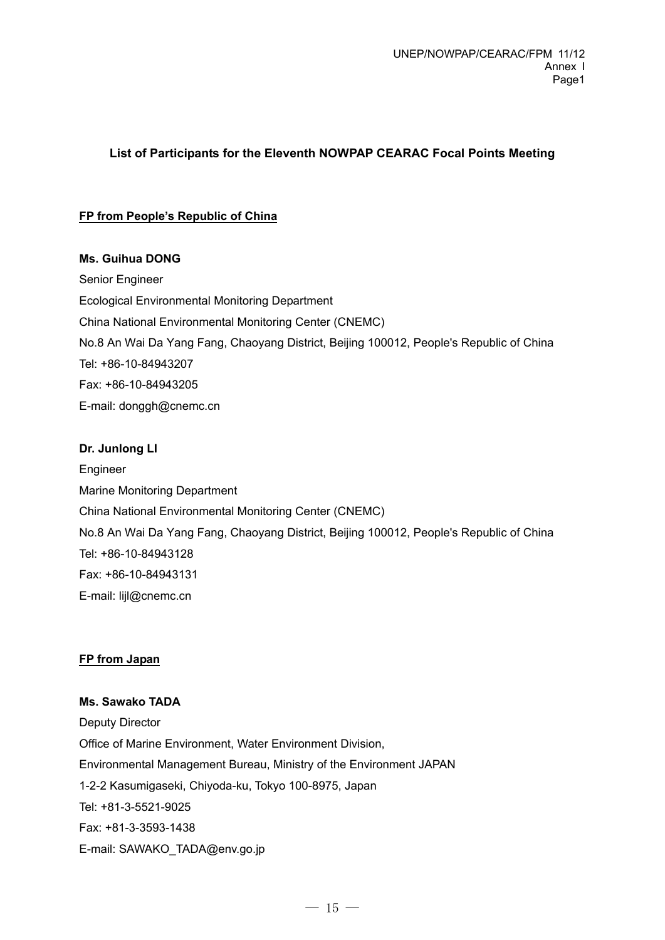## **List of Participants for the Eleventh NOWPAP CEARAC Focal Points Meeting**

#### **FP from People's Republic of China**

#### **Ms. Guihua DONG**

Senior Engineer Ecological Environmental Monitoring Department China National Environmental Monitoring Center (CNEMC) No.8 An Wai Da Yang Fang, Chaoyang District, Beijing 100012, People's Republic of China Tel: +86-10-84943207 Fax: +86-10-84943205 E-mail: donggh@cnemc.cn

#### **Dr. Junlong LI**

Engineer Marine Monitoring Department China National Environmental Monitoring Center (CNEMC) No.8 An Wai Da Yang Fang, Chaoyang District, Beijing 100012, People's Republic of China Tel: +86-10-84943128 Fax: +86-10-84943131 E-mail: lijl@cnemc.cn

#### **FP from Japan**

## **Ms. Sawako TADA**

Deputy Director Office of Marine Environment, Water Environment Division, Environmental Management Bureau, Ministry of the Environment JAPAN 1-2-2 Kasumigaseki, Chiyoda-ku, Tokyo 100-8975, Japan Tel: +81-3-5521-9025 Fax: +81-3-3593-1438 E-mail: SAWAKO\_TADA@env.go.jp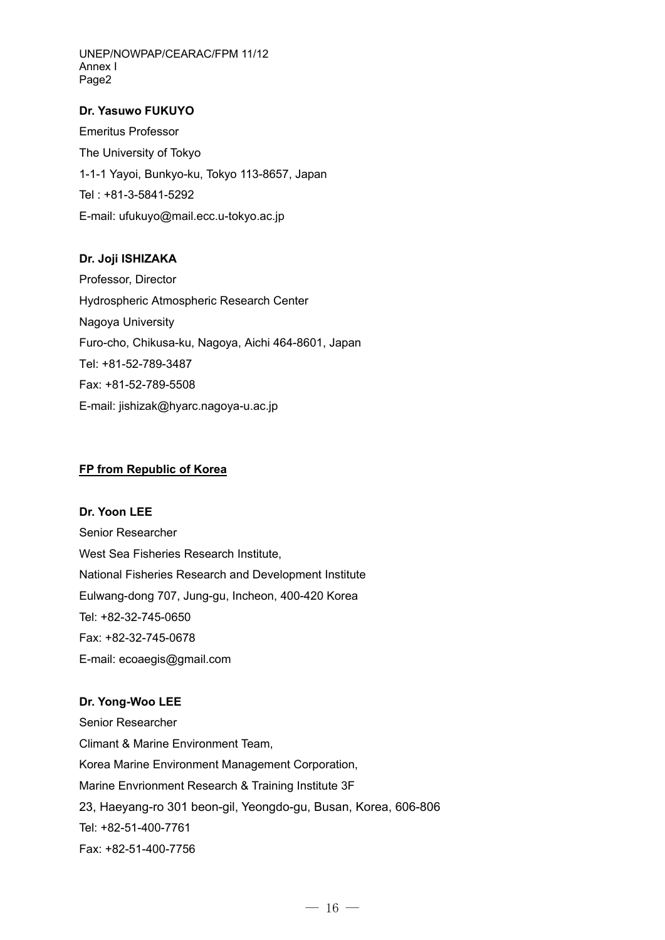UNEP/NOWPAP/CEARAC/FPM 11/12 Annex I Page2

#### **Dr. Yasuwo FUKUYO**

Emeritus Professor The University of Tokyo 1-1-1 Yayoi, Bunkyo-ku, Tokyo 113-8657, Japan Tel : +81-3-5841-5292 E-mail: ufukuyo@mail.ecc.u-tokyo.ac.jp

#### **Dr. Joji ISHIZAKA**

Professor, Director Hydrospheric Atmospheric Research Center Nagoya University Furo-cho, Chikusa-ku, Nagoya, Aichi 464-8601, Japan Tel: +81-52-789-3487 Fax: +81-52-789-5508 E-mail: jishizak@hyarc.nagoya-u.ac.jp

#### **FP from Republic of Korea**

# **Dr. Yoon LEE**  Senior Researcher West Sea Fisheries Research Institute, National Fisheries Research and Development Institute Eulwang-dong 707, Jung-gu, Incheon, 400-420 Korea Tel: +82-32-745-0650 Fax: +82-32-745-0678

E-mail: ecoaegis@gmail.com

## **Dr. Yong-Woo LEE**

Senior Researcher Climant & Marine Environment Team, Korea Marine Environment Management Corporation, Marine Envrionment Research & Training Institute 3F 23, Haeyang-ro 301 beon-gil, Yeongdo-gu, Busan, Korea, 606-806 Tel: +82-51-400-7761 Fax: +82-51-400-7756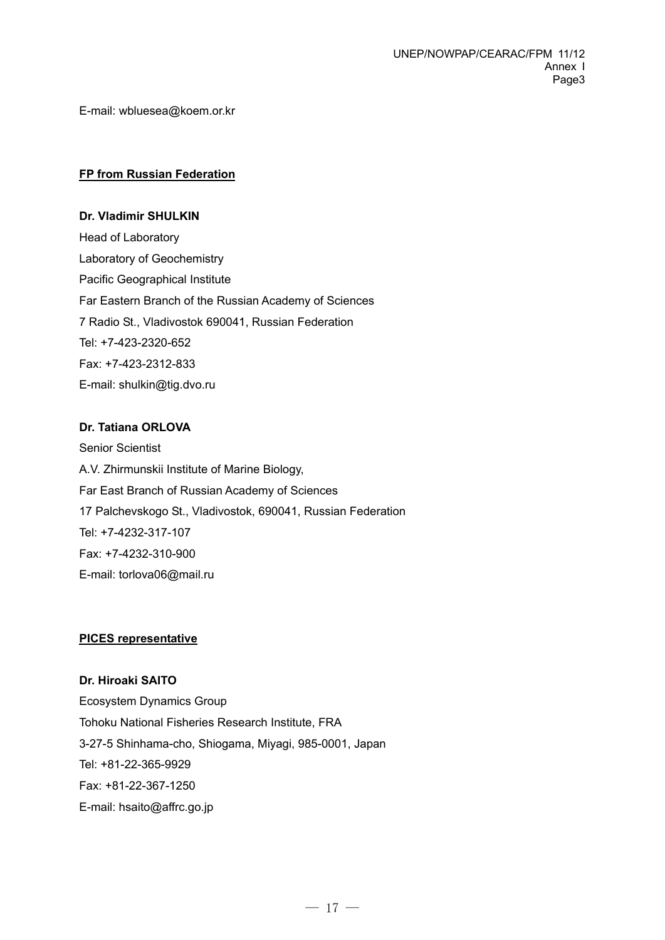E-mail: wbluesea@koem.or.kr

#### **FP from Russian Federation**

**Dr. Vladimir SHULKIN**  Head of Laboratory Laboratory of Geochemistry Pacific Geographical Institute Far Eastern Branch of the Russian Academy of Sciences 7 Radio St., Vladivostok 690041, Russian Federation Tel: +7-423-2320-652 Fax: +7-423-2312-833 E-mail: shulkin@tig.dvo.ru

#### **Dr. Tatiana ORLOVA**

Senior Scientist A.V. Zhirmunskii Institute of Marine Biology, Far East Branch of Russian Academy of Sciences 17 Palchevskogo St., Vladivostok, 690041, Russian Federation Tel: +7-4232-317-107 Fax: +7-4232-310-900 E-mail: torlova06@mail.ru

#### **PICES representative**

**Dr. Hiroaki SAITO**  Ecosystem Dynamics Group Tohoku National Fisheries Research Institute, FRA 3-27-5 Shinhama-cho, Shiogama, Miyagi, 985-0001, Japan Tel: +81-22-365-9929 Fax: +81-22-367-1250 E-mail: hsaito@affrc.go.jp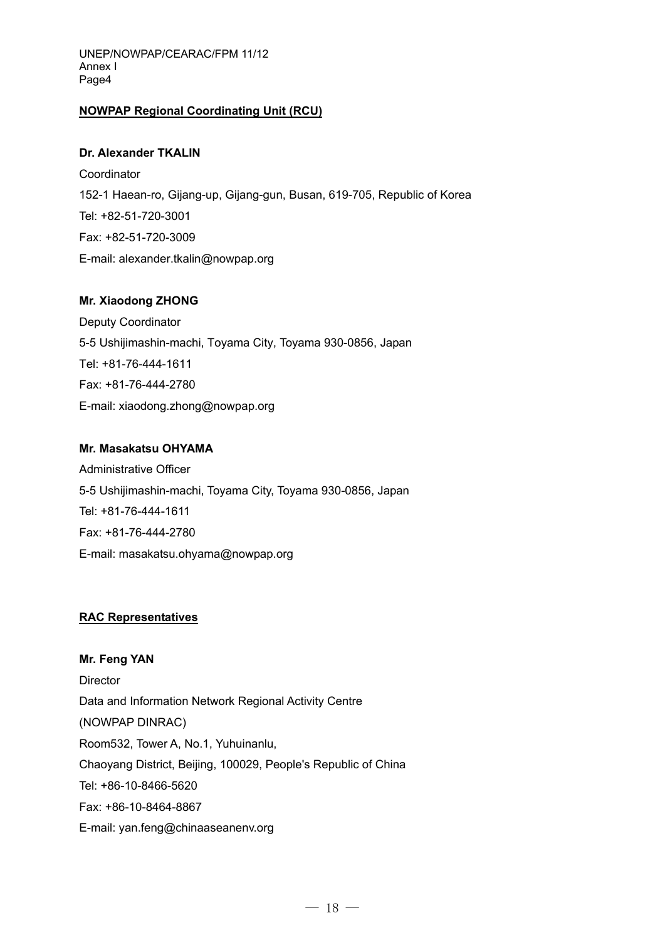## **NOWPAP Regional Coordinating Unit (RCU)**

#### **Dr. Alexander TKALIN**

**Coordinator** 152-1 Haean-ro, Gijang-up, Gijang-gun, Busan, 619-705, Republic of Korea Tel: +82-51-720-3001 Fax: +82-51-720-3009 E-mail: alexander.tkalin@nowpap.org

## **Mr. Xiaodong ZHONG**

Deputy Coordinator 5-5 Ushijimashin-machi, Toyama City, Toyama 930-0856, Japan Tel: +81-76-444-1611 Fax: +81-76-444-2780 E-mail: xiaodong.zhong@nowpap.org

#### **Mr. Masakatsu OHYAMA**

Administrative Officer 5-5 Ushijimashin-machi, Toyama City, Toyama 930-0856, Japan Tel: +81-76-444-1611 Fax: +81-76-444-2780 E-mail: masakatsu.ohyama@nowpap.org

## **RAC Representatives**

**Mr. Feng YAN Director** Data and Information Network Regional Activity Centre (NOWPAP DINRAC) Room532, Tower A, No.1, Yuhuinanlu, Chaoyang District, Beijing, 100029, People's Republic of China Tel: +86-10-8466-5620 Fax: +86-10-8464-8867 E-mail: yan.feng@chinaaseanenv.org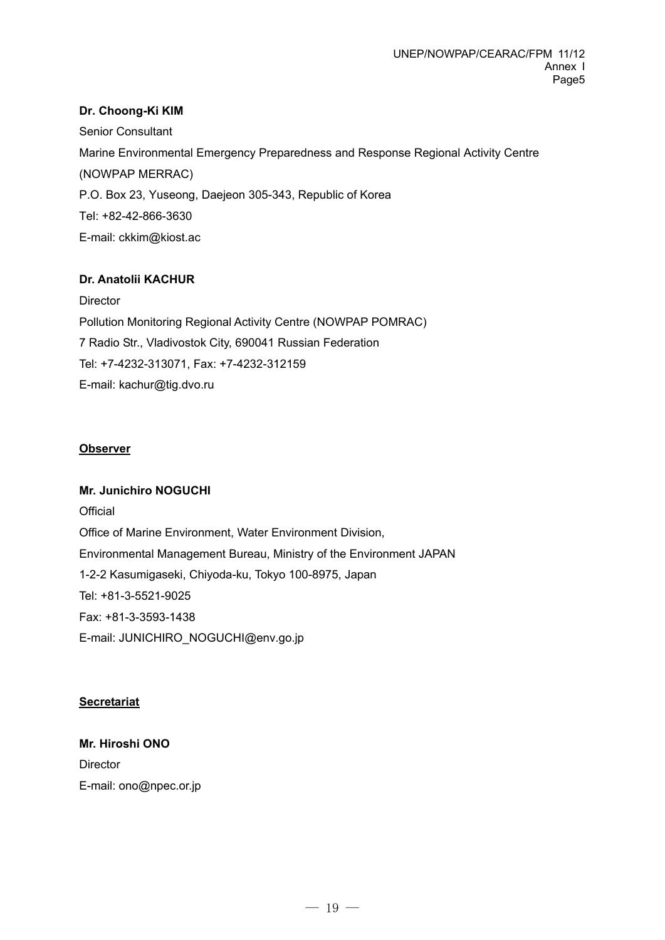### **Dr. Choong-Ki KIM**

Senior Consultant Marine Environmental Emergency Preparedness and Response Regional Activity Centre (NOWPAP MERRAC) P.O. Box 23, Yuseong, Daejeon 305-343, Republic of Korea Tel: +82-42-866-3630 E-mail: ckkim@kiost.ac

#### **Dr. Anatolii KACHUR**

**Director** Pollution Monitoring Regional Activity Centre (NOWPAP POMRAC) 7 Radio Str., Vladivostok City, 690041 Russian Federation Tel: +7-4232-313071, Fax: +7-4232-312159 E-mail: kachur@tig.dvo.ru

#### **Observer**

#### **Mr. Junichiro NOGUCHI**

**Official** Office of Marine Environment, Water Environment Division, Environmental Management Bureau, Ministry of the Environment JAPAN 1-2-2 Kasumigaseki, Chiyoda-ku, Tokyo 100-8975, Japan Tel: +81-3-5521-9025 Fax: +81-3-3593-1438 E-mail: JUNICHIRO\_NOGUCHI@env.go.jp

#### **Secretariat**

# **Mr. Hiroshi ONO Director** E-mail: ono@npec.or.jp